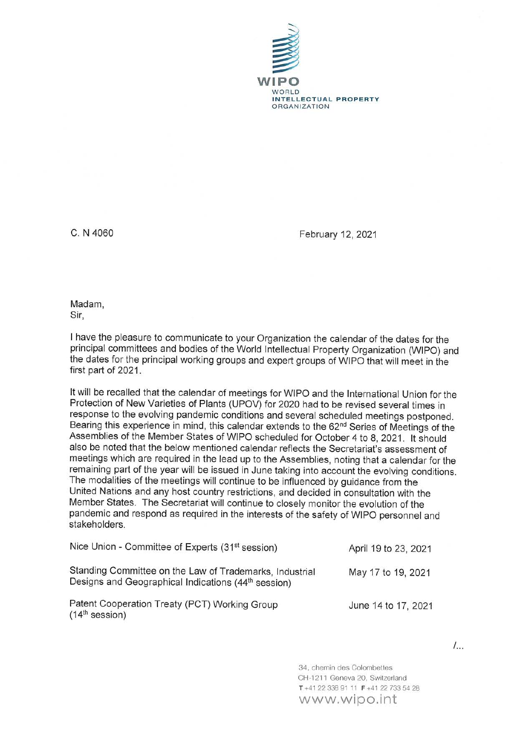

C. N 4060 February 12, 2021

Madam, Sir,

I have the pleasure to communicate to your Organization the calendar of the dates for the principal committees and bodies of the World Intellectual Property Organization (WIPO) and the dates for the principal working groups and expert groups of WIPO that will meet in the first part of 2021.

It will be recalled that the calendar of meetings for WIPO and the International Union for the Protection of New Varieties of Plants (UPOV) for 2020 had to be revised several times in response to the evolving pandemic conditions and several scheduled meetings postponed. Bearing this experience in mind, this calendar extends to the 62<sup>nd</sup> Series of Meetings of the Assemblies of the Member States of WIPO scheduled for October 4 to 8, 2021. It should also be noted that the below mentioned calendar reflects the Secretariat's assessment of meetings which are required in the lead up to the Assemblies, noting that a calendar for the remaining part of the year will be issued in June taking into account the evolving conditions. The modalities of the meetings will continue to be influenced by guidance from the United Nations and any host country restrictions, and decided in consultation with the Member States. The Secretariat will continue to closely monitor the evolution of the pandemic and respond as required in the interests of the safety of WIPO personnel and stakeholders.

| Nice Union - Committee of Experts (31 <sup>st</sup> session)                                                               | April 19 to 23, 2021 |
|----------------------------------------------------------------------------------------------------------------------------|----------------------|
| Standing Committee on the Law of Trademarks, Industrial<br>Designs and Geographical Indications (44 <sup>th</sup> session) | May 17 to 19, 2021   |
| Patent Cooperation Treaty (PCT) Working Group<br>$(14th$ session)                                                          | June 14 to 17, 2021  |

34, chemin des Colombettes CH-1211 Geneva 20 Switzerland T +41 22 338 9111 F +41 22 733 54 28 www,wipo.int